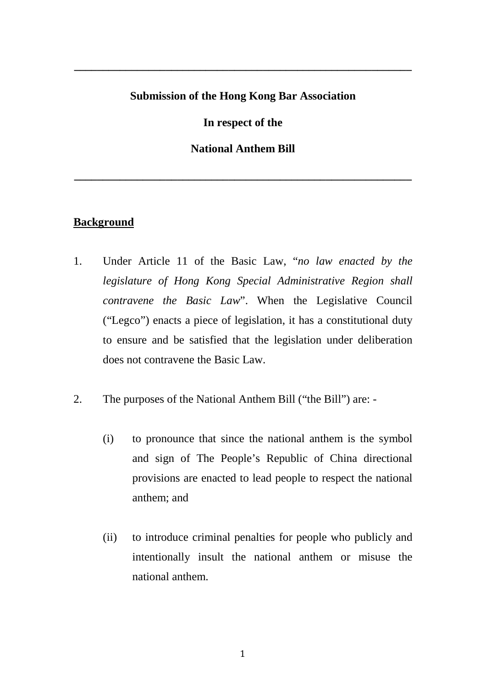# **Submission of the Hong Kong Bar Association**

**\_\_\_\_\_\_\_\_\_\_\_\_\_\_\_\_\_\_\_\_\_\_\_\_\_\_\_\_\_\_\_\_\_\_\_\_\_\_\_\_\_\_\_\_\_\_\_\_\_\_\_\_\_\_\_\_\_\_\_** 

**In respect of the**

**National Anthem Bill** 

**\_\_\_\_\_\_\_\_\_\_\_\_\_\_\_\_\_\_\_\_\_\_\_\_\_\_\_\_\_\_\_\_\_\_\_\_\_\_\_\_\_\_\_\_\_\_\_\_\_\_\_\_\_\_\_\_\_\_\_**

## **Background**

- 1. Under Article 11 of the Basic Law, "*no law enacted by the legislature of Hong Kong Special Administrative Region shall contravene the Basic Law*". When the Legislative Council ("Legco") enacts a piece of legislation, it has a constitutional duty to ensure and be satisfied that the legislation under deliberation does not contravene the Basic Law.
- 2. The purposes of the National Anthem Bill ("the Bill") are:
	- (i) to pronounce that since the national anthem is the symbol and sign of The People's Republic of China directional provisions are enacted to lead people to respect the national anthem; and
	- (ii) to introduce criminal penalties for people who publicly and intentionally insult the national anthem or misuse the national anthem.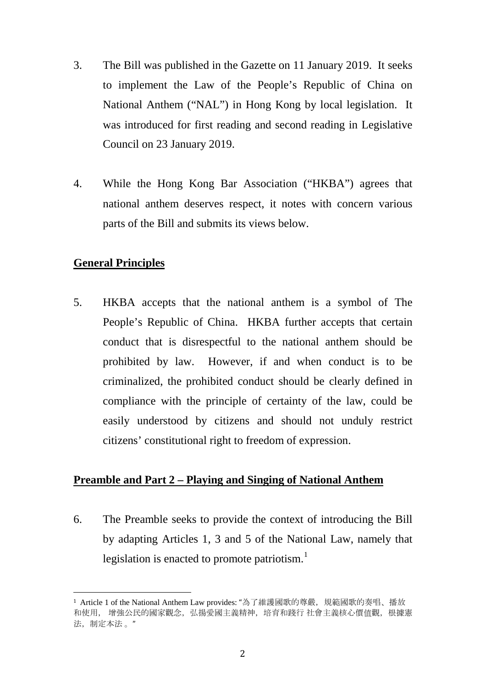- 3. The Bill was published in the Gazette on 11 January 2019. It seeks to implement the Law of the People's Republic of China on National Anthem ("NAL") in Hong Kong by local legislation. It was introduced for first reading and second reading in Legislative Council on 23 January 2019.
- 4. While the Hong Kong Bar Association ("HKBA") agrees that national anthem deserves respect, it notes with concern various parts of the Bill and submits its views below.

# **General Principles**

5. HKBA accepts that the national anthem is a symbol of The People's Republic of China. HKBA further accepts that certain conduct that is disrespectful to the national anthem should be prohibited by law. However, if and when conduct is to be criminalized, the prohibited conduct should be clearly defined in compliance with the principle of certainty of the law, could be easily understood by citizens and should not unduly restrict citizens' constitutional right to freedom of expression.

### **Preamble and Part 2 – Playing and Singing of National Anthem**

6. The Preamble seeks to provide the context of introducing the Bill by adapting Articles 1, 3 and 5 of the National Law, namely that legislation is enacted to promote patriotism.<sup>[1](#page-1-0)</sup>

<span id="page-1-0"></span><sup>1</sup> Article 1 of the National Anthem Law provides: "為了維護國歌的尊嚴,規範國歌的奏唱、播放 和使用, 增強公民的國家觀念,弘揚愛國主義精神,培育和踐行 社會主義核心價值觀,根據憲 法,制定本法 。" i<br>I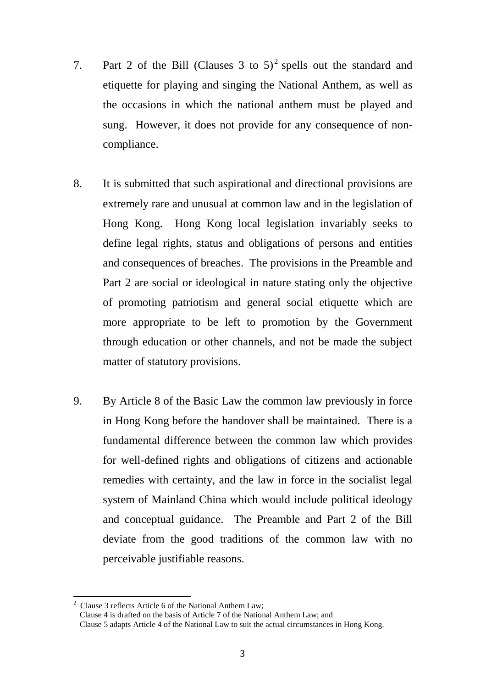- 7. Part [2](#page-2-0) of the Bill (Clauses 3 to  $5)^2$  spells out the standard and etiquette for playing and singing the National Anthem, as well as the occasions in which the national anthem must be played and sung. However, it does not provide for any consequence of noncompliance.
- 8. It is submitted that such aspirational and directional provisions are extremely rare and unusual at common law and in the legislation of Hong Kong. Hong Kong local legislation invariably seeks to define legal rights, status and obligations of persons and entities and consequences of breaches. The provisions in the Preamble and Part 2 are social or ideological in nature stating only the objective of promoting patriotism and general social etiquette which are more appropriate to be left to promotion by the Government through education or other channels, and not be made the subject matter of statutory provisions.
- 9. By Article 8 of the Basic Law the common law previously in force in Hong Kong before the handover shall be maintained. There is a fundamental difference between the common law which provides for well-defined rights and obligations of citizens and actionable remedies with certainty, and the law in force in the socialist legal system of Mainland China which would include political ideology and conceptual guidance. The Preamble and Part 2 of the Bill deviate from the good traditions of the common law with no perceivable justifiable reasons.

<span id="page-2-0"></span><sup>2</sup> Clause 3 reflects Article 6 of the National Anthem Law;  $\overline{1}$ 

Clause 4 is drafted on the basis of Article 7 of the National Anthem Law; and

Clause 5 adapts Article 4 of the National Law to suit the actual circumstances in Hong Kong.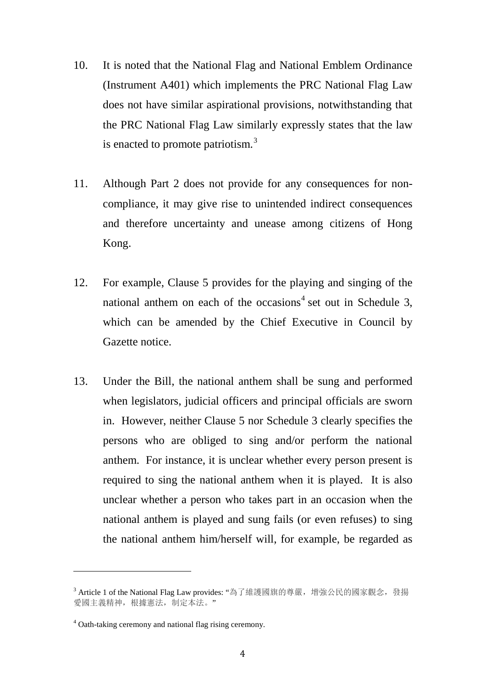- 10. It is noted that the National Flag and National Emblem Ordinance (Instrument A401) which implements the PRC National Flag Law does not have similar aspirational provisions, notwithstanding that the PRC National Flag Law similarly expressly states that the law is enacted to promote patriotism.<sup>[3](#page-3-0)</sup>
- 11. Although Part 2 does not provide for any consequences for noncompliance, it may give rise to unintended indirect consequences and therefore uncertainty and unease among citizens of Hong Kong.
- 12. For example, Clause 5 provides for the playing and singing of the national anthem on each of the occasions<sup>[4](#page-3-1)</sup> set out in Schedule 3, which can be amended by the Chief Executive in Council by Gazette notice.
- 13. Under the Bill, the national anthem shall be sung and performed when legislators, judicial officers and principal officials are sworn in. However, neither Clause 5 nor Schedule 3 clearly specifies the persons who are obliged to sing and/or perform the national anthem. For instance, it is unclear whether every person present is required to sing the national anthem when it is played. It is also unclear whether a person who takes part in an occasion when the national anthem is played and sung fails (or even refuses) to sing the national anthem him/herself will, for example, be regarded as

i<br>I

<span id="page-3-0"></span><sup>&</sup>lt;sup>3</sup> Article 1 of the National Flag Law provides: "為了維護國旗的尊嚴, 增強公民的國家觀念, 發揚 愛國主義精神,根據憲法,制定本法。"

<span id="page-3-1"></span><sup>4</sup> Oath-taking ceremony and national flag rising ceremony.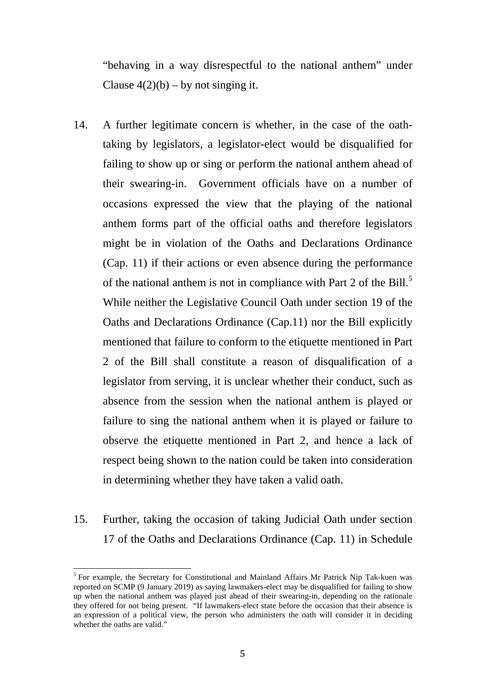"behaving in a way disrespectful to the national anthem" under Clause  $4(2)(b) - by$  not singing it.

- 14. A further legitimate concern is whether, in the case of the oathtaking by legislators, a legislator-elect would be disqualified for failing to show up or sing or perform the national anthem ahead of their swearing-in. Government officials have on a number of occasions expressed the view that the playing of the national anthem forms part of the official oaths and therefore legislators might be in violation of the Oaths and Declarations Ordinance (Cap. 11) if their actions or even absence during the performance of the national anthem is not in compliance with Part 2 of the Bill.<sup>[5](#page-4-0)</sup> While neither the Legislative Council Oath under section 19 of the Oaths and Declarations Ordinance (Cap.11) nor the Bill explicitly mentioned that failure to conform to the etiquette mentioned in Part 2 of the Bill shall constitute a reason of disqualification of a legislator from serving, it is unclear whether their conduct, such as absence from the session when the national anthem is played or failure to sing the national anthem when it is played or failure to observe the etiquette mentioned in Part 2, and hence a lack of respect being shown to the nation could be taken into consideration in determining whether they have taken a valid oath.
- 15. Further, taking the occasion of taking Judicial Oath under section 17 of the Oaths and Declarations Ordinance (Cap. 11) in Schedule

<span id="page-4-0"></span><sup>&</sup>lt;sup>5</sup> For example, the Secretary for Constitutional and Mainland Affairs Mr Patrick Nip Tak-kuen was reported on SCMP (9 January 2019) as saying lawmakers-elect may be disqualified for failing to show up when the national anthem was played just ahead of their swearing-in, depending on the rationale they offered for not being present. "If lawmakers-elect state before the occasion that their absence is an expression of a political view, the person who administers the oath will consider it in deciding whether the oaths are valid."  $\overline{a}$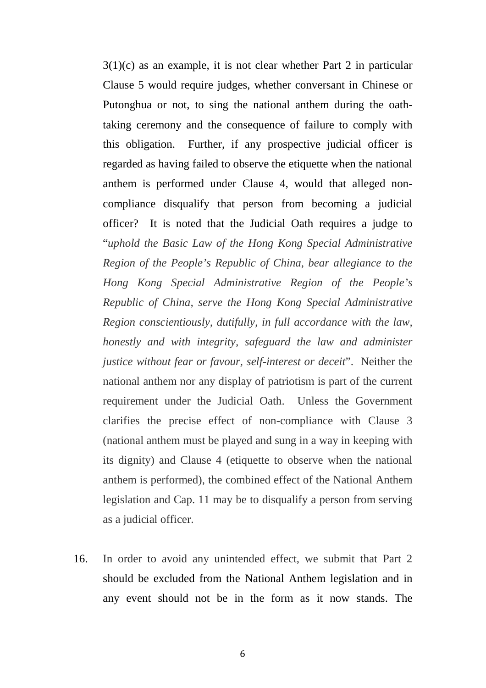$3(1)(c)$  as an example, it is not clear whether Part 2 in particular Clause 5 would require judges, whether conversant in Chinese or Putonghua or not, to sing the national anthem during the oathtaking ceremony and the consequence of failure to comply with this obligation. Further, if any prospective judicial officer is regarded as having failed to observe the etiquette when the national anthem is performed under Clause 4, would that alleged noncompliance disqualify that person from becoming a judicial officer? It is noted that the Judicial Oath requires a judge to "*uphold the Basic Law of the Hong Kong Special Administrative Region of the People's Republic of China, bear allegiance to the Hong Kong Special Administrative Region of the People's Republic of China, serve the Hong Kong Special Administrative Region conscientiously, dutifully, in full accordance with the law, honestly and with integrity, safeguard the law and administer justice without fear or favour, self-interest or deceit*". Neither the national anthem nor any display of patriotism is part of the current requirement under the Judicial Oath. Unless the Government clarifies the precise effect of non-compliance with Clause 3 (national anthem must be played and sung in a way in keeping with its dignity) and Clause 4 (etiquette to observe when the national anthem is performed), the combined effect of the National Anthem legislation and Cap. 11 may be to disqualify a person from serving as a judicial officer.

16. In order to avoid any unintended effect, we submit that Part 2 should be excluded from the National Anthem legislation and in any event should not be in the form as it now stands. The

6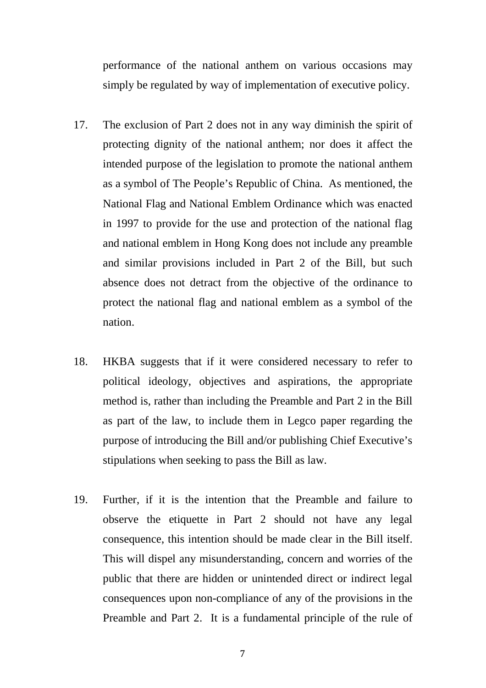performance of the national anthem on various occasions may simply be regulated by way of implementation of executive policy.

- 17. The exclusion of Part 2 does not in any way diminish the spirit of protecting dignity of the national anthem; nor does it affect the intended purpose of the legislation to promote the national anthem as a symbol of The People's Republic of China. As mentioned, the National Flag and National Emblem Ordinance which was enacted in 1997 to provide for the use and protection of the national flag and national emblem in Hong Kong does not include any preamble and similar provisions included in Part 2 of the Bill, but such absence does not detract from the objective of the ordinance to protect the national flag and national emblem as a symbol of the nation.
- 18. HKBA suggests that if it were considered necessary to refer to political ideology, objectives and aspirations, the appropriate method is, rather than including the Preamble and Part 2 in the Bill as part of the law, to include them in Legco paper regarding the purpose of introducing the Bill and/or publishing Chief Executive's stipulations when seeking to pass the Bill as law.
- 19. Further, if it is the intention that the Preamble and failure to observe the etiquette in Part 2 should not have any legal consequence, this intention should be made clear in the Bill itself. This will dispel any misunderstanding, concern and worries of the public that there are hidden or unintended direct or indirect legal consequences upon non-compliance of any of the provisions in the Preamble and Part 2. It is a fundamental principle of the rule of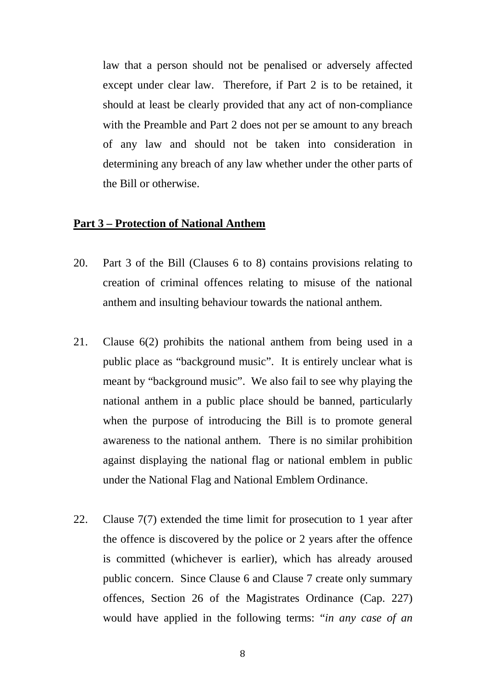law that a person should not be penalised or adversely affected except under clear law. Therefore, if Part 2 is to be retained, it should at least be clearly provided that any act of non-compliance with the Preamble and Part 2 does not per se amount to any breach of any law and should not be taken into consideration in determining any breach of any law whether under the other parts of the Bill or otherwise.

#### **Part 3 – Protection of National Anthem**

- 20. Part 3 of the Bill (Clauses 6 to 8) contains provisions relating to creation of criminal offences relating to misuse of the national anthem and insulting behaviour towards the national anthem.
- 21. Clause 6(2) prohibits the national anthem from being used in a public place as "background music". It is entirely unclear what is meant by "background music". We also fail to see why playing the national anthem in a public place should be banned, particularly when the purpose of introducing the Bill is to promote general awareness to the national anthem. There is no similar prohibition against displaying the national flag or national emblem in public under the National Flag and National Emblem Ordinance.
- 22. Clause 7(7) extended the time limit for prosecution to 1 year after the offence is discovered by the police or 2 years after the offence is committed (whichever is earlier), which has already aroused public concern. Since Clause 6 and Clause 7 create only summary offences, Section 26 of the Magistrates Ordinance (Cap. 227) would have applied in the following terms: "*in any case of an*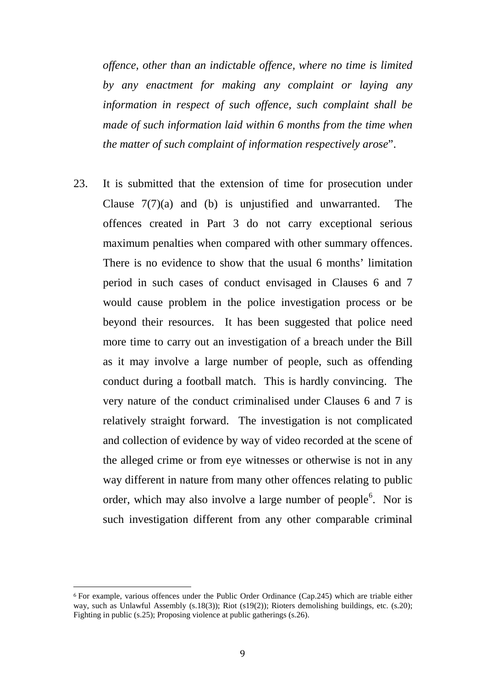*offence, other than an indictable offence, where no time is limited by any enactment for making any complaint or laying any information in respect of such offence, such complaint shall be made of such information laid within 6 months from the time when the matter of such complaint of information respectively arose*".

23. It is submitted that the extension of time for prosecution under Clause 7(7)(a) and (b) is unjustified and unwarranted. The offences created in Part 3 do not carry exceptional serious maximum penalties when compared with other summary offences. There is no evidence to show that the usual 6 months' limitation period in such cases of conduct envisaged in Clauses 6 and 7 would cause problem in the police investigation process or be beyond their resources. It has been suggested that police need more time to carry out an investigation of a breach under the Bill as it may involve a large number of people, such as offending conduct during a football match. This is hardly convincing. The very nature of the conduct criminalised under Clauses 6 and 7 is relatively straight forward. The investigation is not complicated and collection of evidence by way of video recorded at the scene of the alleged crime or from eye witnesses or otherwise is not in any way different in nature from many other offences relating to public order, which may also involve a large number of people<sup>[6](#page-8-0)</sup>. Nor is such investigation different from any other comparable criminal

<span id="page-8-0"></span><sup>6</sup> For example, various offences under the Public Order Ordinance (Cap.245) which are triable either way, such as Unlawful Assembly (s.18(3)); Riot (s19(2)); Rioters demolishing buildings, etc. (s.20); Fighting in public (s.25); Proposing violence at public gatherings (s.26). j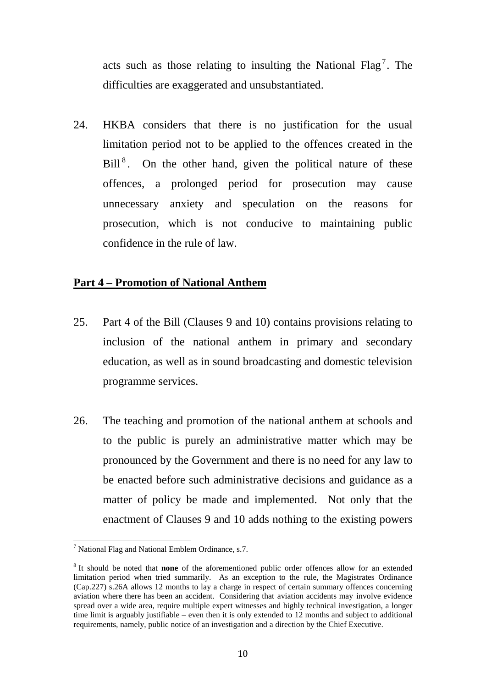acts such as those relating to insulting the National Flag<sup>[7](#page-9-0)</sup>. The difficulties are exaggerated and unsubstantiated.

24. HKBA considers that there is no justification for the usual limitation period not to be applied to the offences created in the Bill<sup>[8](#page-9-1)</sup>. On the other hand, given the political nature of these offences, a prolonged period for prosecution may cause unnecessary anxiety and speculation on the reasons for prosecution, which is not conducive to maintaining public confidence in the rule of law.

### **Part 4 – Promotion of National Anthem**

- 25. Part 4 of the Bill (Clauses 9 and 10) contains provisions relating to inclusion of the national anthem in primary and secondary education, as well as in sound broadcasting and domestic television programme services.
- 26. The teaching and promotion of the national anthem at schools and to the public is purely an administrative matter which may be pronounced by the Government and there is no need for any law to be enacted before such administrative decisions and guidance as a matter of policy be made and implemented. Not only that the enactment of Clauses 9 and 10 adds nothing to the existing powers

<span id="page-9-0"></span> $7$  National Flag and National Emblem Ordinance, s.7.  $\overline{1}$ 

<span id="page-9-1"></span><sup>8</sup> It should be noted that **none** of the aforementioned public order offences allow for an extended limitation period when tried summarily. As an exception to the rule, the Magistrates Ordinance (Cap.227) s.26A allows 12 months to lay a charge in respect of certain summary offences concerning aviation where there has been an accident. Considering that aviation accidents may involve evidence spread over a wide area, require multiple expert witnesses and highly technical investigation, a longer time limit is arguably justifiable – even then it is only extended to 12 months and subject to additional requirements, namely, public notice of an investigation and a direction by the Chief Executive.